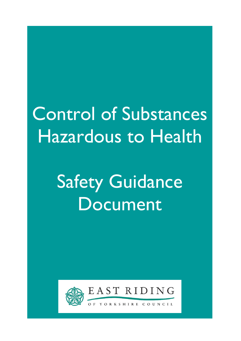# Control of Substances Hazardous to Health

# Safety Guidance Document



Ξ

EAST RIDING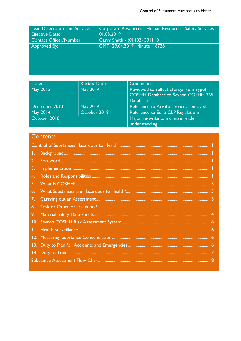| Lead Directorate and Service:  | Corporate Resources - Human Resources, Safety Services |
|--------------------------------|--------------------------------------------------------|
| <b>Effective Date:</b>         | 01.05.2019                                             |
| <b>Contact Officer/Number:</b> | Garry Smith - (01482) 391110                           |
| Approved By:                   | CMT 29.04.2019 Minute 18728                            |
|                                |                                                        |
|                                |                                                        |
|                                |                                                        |
|                                |                                                        |
|                                |                                                        |

| Issued:       | <b>Review Date:</b> | <b>Comments:</b>                          |
|---------------|---------------------|-------------------------------------------|
| May 2012      | May 2014            | Reviewed to reflect change from Sypol     |
|               |                     | <b>COSHH Database to Sevron COSHH 365</b> |
|               |                     | Database.                                 |
| December 2013 | <b>May 2014</b>     | Reference to Arvato services removed.     |
| May 2014      | October 2018        | Reference to Euro CLP Regulations.        |
| October 2018  |                     | Major re-write to increase reader         |
|               |                     | understanding.                            |

# **Contents**

| Τ. |  |  |
|----|--|--|
|    |  |  |
| 3. |  |  |
| 4. |  |  |
| 5. |  |  |
| 6. |  |  |
| 7. |  |  |
| 8. |  |  |
| 9. |  |  |
|    |  |  |
|    |  |  |
|    |  |  |
|    |  |  |
|    |  |  |
|    |  |  |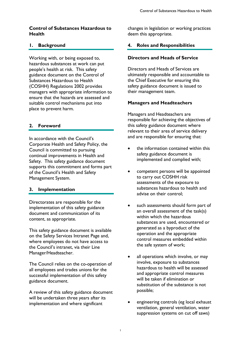# Control of Substances Hazardous to Health

# 1. Background

Working with, or being exposed to, hazardous substances at work can put people's health at risk. This safety guidance document on the Control of Substances Hazardous to Health (COSHH) Regulations 2002 provides managers with appropriate information to ensure that the hazards are assessed and suitable control mechanisms put into place to prevent harm.

# 2. Foreword

In accordance with the Council's Corporate Health and Safety Policy, the Council is committed to pursuing continual improvements in Health and Safety. This safety guidance document supports this commitment and forms part of the Council's Health and Safety Management System.

# 3. Implementation

Directorates are responsible for the implementation of this safety guidance document and communication of its content, as appropriate.

This safety guidance document is available on the Safety Services Intranet Page and, where employees do not have access to the Council's intranet, via their Line Manager/Headteacher.

The Council relies on the co-operation of all employees and trades unions for the successful implementation of this safety guidance document.

A review of this safety guidance document will be undertaken three years after its implementation and where significant

changes in legislation or working practices deem this appropriate.

# 4. Roles and Responsibilities

#### Directors and Heads of Service

Directors and Heads of Services are ultimately responsible and accountable to the Chief Executive for ensuring this safety guidance document is issued to their management team.

#### Managers and Headteachers

Managers and Headteachers are responsible for achieving the objectives of this safety guidance document where relevant to their area of service delivery and are responsible for ensuring that:

- the information contained within this safety guidance document is implemented and complied with;
- competent persons will be appointed to carry out COSHH risk assessments of the exposure to substances hazardous to health and advise on their control;
- such assessments should form part of an overall assessment of the task(s) within which the hazardous substances are used, encountered or generated as a byproduct of the operation and the appropriate control measures embedded within the safe system of work;
- all operations which involve, or may involve, exposure to substances hazardous to health will be assessed and appropriate control measures will be taken if elimination or substitution of the substance is not possible;
- engineering controls (eg local exhaust ventilation, general ventilation, water suppression systems on cut off saws)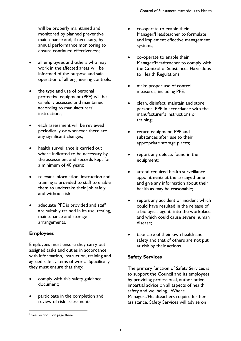will be properly maintained and monitored by planned preventive maintenance and, if necessary, by annual performance monitoring to ensure continued effectiveness;

- all employees and others who may work in the affected areas will be informed of the purpose and safe operation of all engineering controls;
- the type and use of personal protective equipment (PPE) will be carefully assessed and maintained according to manufacturers' instructions;
- each assessment will be reviewed periodically or whenever there are any significant changes;
- health surveillance is carried out where indicated to be necessary by the assessment and records kept for a minimum of 40 years;
- relevant information, instruction and training is provided to staff to enable them to undertake their job safely and without risk;
- adequate PPE is provided and staff are suitably trained in its use, testing, maintenance and storage arrangements.

# Employees

Employees must ensure they carry out assigned tasks and duties in accordance with information, instruction, training and agreed safe systems of work. Specifically they must ensure that they:

- comply with this safety guidance document;
- participate in the completion and review of risk assessments;
- co-operate to enable their Manager/Headteacher to formulate and implement effective management systems;
- co-operate to enable their Manager/Headteacher to comply with the Control of Substances Hazardous to Health Regulations;
- make proper use of control measures, including PPE;
- clean, disinfect, maintain and store personal PPE in accordance with the manufacturer's instructions or training;
- return equipment, PPE and substances after use to their appropriate storage places;
- report any defects found in the equipment;
- attend required health surveillance appointments at the arranged time and give any information about their health as may be reasonable;
- report any accident or incident which could have resulted in the release of a biological agent $^{\rm l}$  into the workplace and which could cause severe human disease;
- take care of their own health and safety and that of others are not put at risk by their actions.

# Safety Services

The primary function of Safety Services is to support the Council and its employees by providing professional, authoritative, impartial advice on all aspects of health, safety and wellbeing. Where Managers/Headteachers require further assistance, Safety Services will advise on

-

<sup>&</sup>lt;sup>1</sup> See Section 5 on page three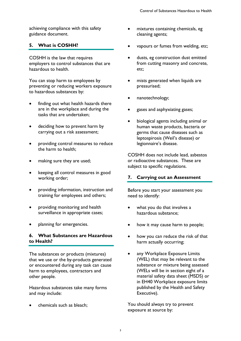achieving compliance with this safety guidance document.

# 5. What is COSHH?

COSHH is the law that requires employers to control substances that are hazardous to health.

You can stop harm to employees by preventing or reducing workers exposure to hazardous substances by:

- finding out what health hazards there are in the workplace and during the tasks that are undertaken;
- deciding how to prevent harm by carrying out a risk assessment;
- providing control measures to reduce the harm to health;
- making sure they are used;
- keeping all control measures in good working order;
- providing information, instruction and training for employees and others;
- providing monitoring and health surveillance in appropriate cases;
- planning for emergencies.

# 6. What Substances are Hazardous to Health?

The substances or products (mixtures) that we use or the by-products generated or encountered during any task can cause harm to employees, contractors and other people.

Hazardous substances take many forms and may include:

chemicals such as bleach;

- mixtures containing chemicals, eg cleaning agents;
- vapours or fumes from welding, etc;
- dusts, eg construction dust emitted from cutting masonry and concrete, etc;
- mists generated when liquids are pressurised;
- nanotechnology;
- gases and asphyxiating gases;
- biological agents including animal or human waste products, bacteria or germs that cause diseases such as leptospirosis (Weil's disease) or legionnaire's disease.

COSHH does not include lead, asbestos or radioactive substances. These are subject to specific regulations.

# 7. Carrying out an Assessment

Before you start your assessment you need to identify:

- what you do that involves a hazardous substance;
- how it may cause harm to people;
- how you can reduce the risk of that harm actually occurring;
- any Workplace Exposure Limits (WEL) that may be relevant to the substance or mixture being assessed (WELs will be in section eight of a material safety data sheet (MSDS) or in EH40 Workplace exposure limits published by the Health and Safety Executive).

You should always try to prevent exposure at source by: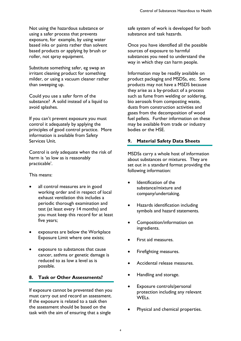Not using the hazardous substance or using a safer process that prevents exposure, for example, by using water based inks or paints rather than solvent based products or applying by brush or roller, not spray equipment.

Substitute something safer, eg swap an irritant cleaning product for something milder, or using a vacuum cleaner rather than sweeping up.

Could you use a safer form of the substance? A solid instead of a liquid to avoid splashes.

If you can't prevent exposure you must control it adequately by applying the principles of good control practice. More information is available from Safety Services Unit.

Control is only adequate when the risk of harm is 'as low as is reasonably practicable'.

This means:

- all control measures are in good working order and in respect of local exhaust ventilation this includes a periodic thorough examination and test (at least every 14 months) and you must keep this record for at least five years;
- exposures are below the Workplace Exposure Limit where one exists;
- exposure to substances that cause cancer, asthma or genetic damage is reduced to as low a level as is possible.

# 8. Task or Other Assessments?

If exposure cannot be prevented then you must carry out and record an assessment. If the exposure is related to a task then the assessment should be based on the task with the aim of ensuring that a single

safe system of work is developed for both substance and task hazards.

Once you have identified all the possible sources of exposure to harmful substances you need to understand the way in which they can harm people.

Information may be readily available on product packaging and MSDSs, etc. Some products may not have a MSDS because they arise as a by-product of a process such as fume from welding or soldering, bio aerosols from composting waste, dusts from construction activities and gases from the decomposition of wood fuel pellets. Further information on these may be available from trade or industry bodies or the HSE.

# 9. Material Safety Data Sheets

MSDSs carry a whole host of information about substances or mixtures. They are set out in a standard format providing the following information:

- Identification of the substance/mixture and company/undertaking.
- Hazards identification including symbols and hazard statements.
- Composition/information on ingredients.
- First aid measures.
- Firefighting measures.
- Accidental release measures.
- Handling and storage.
- Exposure controls/personal protection including any relevant WELs.
- Physical and chemical properties.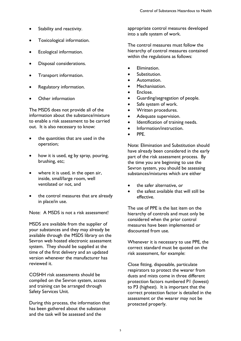- Stability and reactivity.
- Toxicological information.
- Ecological information.
- Disposal considerations.
- Transport information.
- Regulatory information.
- Other information

The MSDS does not provide all of the information about the substance/mixture to enable a risk assessment to be carried out. It is also necessary to know:

- the quantities that are used in the operation;
- how it is used, eg by spray, pouring, brushing, etc;
- where it is used, in the open air, inside, small/large room, well ventilated or not, and
- the control measures that are already in place/in use.

Note: A MSDS is not a risk assessment!

MSDS are available from the supplier of your substances and they may already be available through the MSDS library on the Sevron web hosted electronic assessment system. They should be supplied at the time of the first delivery and an updated version whenever the manufacturer has reviewed it.

COSHH risk assessments should be compiled on the Sevron system, access and training can be arranged through Safety Services Unit.

During this process, the information that has been gathered about the substance and the task will be assessed and the

appropriate control measures developed into a safe system of work.

The control measures must follow the hierarchy of control measures contained within the regulations as follows:

- Elimination.
- Substitution.
- Automation.
- Mechanisation.
- Enclose.
- Guarding/segregation of people.
- Safe system of work.
- Written procedures.
- Adequate supervision.
- Identification of training needs.
- Information/instruction.
- PPE.

Note: Elimination and Substitution should have already been considered in the early part of the risk assessment process. By the time you are beginning to use the Sevron system, you should be assessing substances/mixtures which are either

- the safer alternative, or
- the safest available that will still be effective.

The use of PPE is the last item on the hierarchy of controls and must only be considered when the prior control measures have been implemented or discounted from use.

Whenever it is necessary to use PPE, the correct standard must be quoted on the risk assessment, for example:

Close fitting, disposable, particulate respirators to protect the wearer from dusts and mists come in three different protection factors numbered P1 (lowest) to P3 (highest). It is important that the correct protection factor is detailed in the assessment or the wearer may not be protected properly.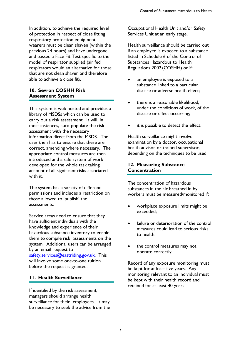In addition, to achieve the required level of protection in respect of close fitting respiratory protection equipment, wearers must be clean shaven (within the previous 24 hours) and have undergone and passed a Face Fit Test specific to the model of respirator supplied (air fed respirators would an alternative for those that are not clean shaven and therefore able to achieve a close fit).

# 10. Sevron COSHH Risk Assessment System

This system is web hosted and provides a library of MSDSs which can be used to carry out a risk assessment. It will, in most instances, auto-populate the risk assessment with the necessary information direct from the MSDS. The user then has to ensure that these are correct, amending where necessary. The appropriate control measures are then introduced and a safe system of work developed for the whole task taking account of all significant risks associated with it.

The system has a variety of different permissions and includes a restriction on those allowed to 'publish' the assessments.

Service areas need to ensure that they have sufficient individuals with the knowledge and experience of their hazardous substance inventory to enable them to compile risk assessments on the system. Additional users can be arranged by an email request to safety.services@eastriding.gov.uk. This will involve some one-to-one tuition before the request is granted.

# 11. Health Surveillance

If identified by the risk assessment, managers should arrange health surveillance for their employees. It may be necessary to seek the advice from the Occupational Health Unit and/or Safety Services Unit at an early stage.

Health surveillance should be carried out if an employee is exposed to a substance listed in Schedule 6 of the Control of Substances Hazardous to Health Regulations 2002 (COSHH) or if:

- an employee is exposed to a substance linked to a particular disease or adverse health effect;
- there is a reasonable likelihood, under the conditions of work, of the disease or effect occurring;
- it is possible to detect the effect.

Health surveillance might involve examination by a doctor, occupational health advisor or trained supervisor, depending on the techniques to be used.

#### 12. Measuring Substance **Concentration**

The concentration of hazardous substances in the air breathed in by workers must be measured/monitored if:

- workplace exposure limits might be exceeded;
- failure or deterioration of the control measures could lead to serious risks to health;
- the control measures may not operate correctly.

Record of any exposure monitoring must be kept for at least five years. Any monitoring relevant to an individual must be kept with their health record and retained for at least 40 years.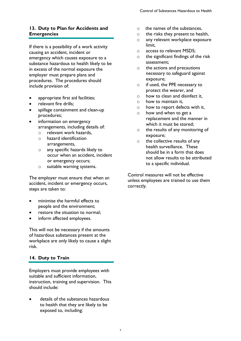# 13. Duty to Plan for Accidents and **Emergencies**

If there is a possibility of a work activity causing an accident, incident or emergency which causes exposure to a substance hazardous to health likely to be in excess of the normal exposure the employer must prepare plans and procedures. The procedures should include provision of:

- appropriate first aid facilities;
- relevant fire drills;
- spillage containment and clean-up procedures;
- information on emergency arrangements, including details of:
	- o relevant work hazards,
	- o hazard identification arrangements,
	- o any specific hazards likely to occur when an accident, incident or emergency occurs;
	- o suitable warning systems.

The employer must ensure that when an accident, incident or emergency occurs, steps are taken to:

- minimise the harmful effects to people and the environment;
- restore the situation to normal;
- inform affected employees.

This will not be necessary if the amounts of hazardous substances present at the workplace are only likely to cause a slight risk.

# 14. Duty to Train

Employers must provide employees with suitable and sufficient information, instruction, training and supervision. This should include:

 details of the substances hazardous to health that they are likely to be exposed to, including:

- o the names of the substances,
- o the risks they present to health,
- o any relevant workplace exposure limit,
- o access to relevant MSDS;
- o the significant findings of the risk assessment;
- o the actions and precautions necessary to safeguard against exposure;
- o if used, the PPE necessary to protect the wearer, and
- o how to clean and disinfect it,
- o how to maintain it,
- o how to report defects with it,
- o how and when to get a replacement and the manner in which it must be stored;
- o the results of any monitoring of exposure;
- o the collective results of any health surveillance. These should be in a form that does not allow results to be attributed to a specific individual.

Control measures will not be effective unless employees are trained to use them correctly.